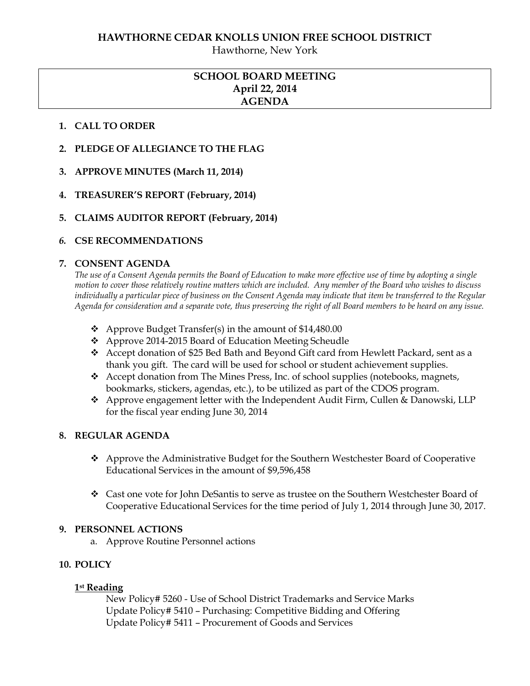Hawthorne, New York

# **SCHOOL BOARD MEETING April 22, 2014 AGENDA**

### **1. CALL TO ORDER**

- **2. PLEDGE OF ALLEGIANCE TO THE FLAG**
- **3. APPROVE MINUTES (March 11, 2014)**
- **4. TREASURER'S REPORT (February, 2014)**
- **5. CLAIMS AUDITOR REPORT (February, 2014)**

### *6.* **CSE RECOMMENDATIONS**

### **7. CONSENT AGENDA**

*The use of a Consent Agenda permits the Board of Education to make more effective use of time by adopting a single motion to cover those relatively routine matters which are included. Any member of the Board who wishes to discuss individually a particular piece of business on the Consent Agenda may indicate that item be transferred to the Regular Agenda for consideration and a separate vote, thus preserving the right of all Board members to be heard on any issue.* 

- $\triangle$  Approve Budget Transfer(s) in the amount of \$14,480.00
- Approve 2014-2015 Board of Education Meeting Scheudle
- Accept donation of \$25 Bed Bath and Beyond Gift card from Hewlett Packard, sent as a thank you gift. The card will be used for school or student achievement supplies.
- Accept donation from The Mines Press, Inc. of school supplies (notebooks, magnets, bookmarks, stickers, agendas, etc.), to be utilized as part of the CDOS program.
- Approve engagement letter with the Independent Audit Firm, Cullen & Danowski, LLP for the fiscal year ending June 30, 2014

### **8. REGULAR AGENDA**

- Approve the Administrative Budget for the Southern Westchester Board of Cooperative Educational Services in the amount of \$9,596,458
- Cast one vote for John DeSantis to serve as trustee on the Southern Westchester Board of Cooperative Educational Services for the time period of July 1, 2014 through June 30, 2017.

### **9. PERSONNEL ACTIONS**

a. Approve Routine Personnel actions

## **10. POLICY**

### **1st Reading**

New Policy# 5260 - Use of School District Trademarks and Service Marks Update Policy# 5410 – Purchasing: Competitive Bidding and Offering Update Policy# 5411 – Procurement of Goods and Services